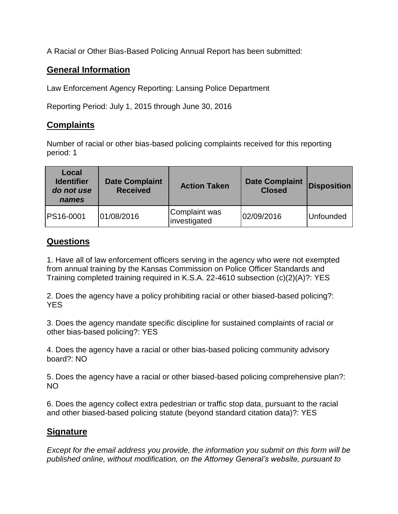A Racial or Other Bias-Based Policing Annual Report has been submitted:

## **General Information**

Law Enforcement Agency Reporting: Lansing Police Department

Reporting Period: July 1, 2015 through June 30, 2016

## **Complaints**

Number of racial or other bias-based policing complaints received for this reporting period: 1

| Local<br><b>Identifier</b><br>do not use<br>names | <b>Date Complaint</b><br><b>Received</b> | <b>Action Taken</b>           | <b>Date Complaint</b><br><b>Closed</b> | <b>Disposition</b> |
|---------------------------------------------------|------------------------------------------|-------------------------------|----------------------------------------|--------------------|
| <b>PS16-0001</b>                                  | 01/08/2016                               | Complaint was<br>investigated | 02/09/2016                             | <b>Unfounded</b>   |

## **Questions**

1. Have all of law enforcement officers serving in the agency who were not exempted from annual training by the Kansas Commission on Police Officer Standards and Training completed training required in K.S.A. 22-4610 subsection (c)(2)(A)?: YES

2. Does the agency have a policy prohibiting racial or other biased-based policing?: YES

3. Does the agency mandate specific discipline for sustained complaints of racial or other bias-based policing?: YES

4. Does the agency have a racial or other bias-based policing community advisory board?: NO

5. Does the agency have a racial or other biased-based policing comprehensive plan?: NO

6. Does the agency collect extra pedestrian or traffic stop data, pursuant to the racial and other biased-based policing statute (beyond standard citation data)?: YES

## **Signature**

*Except for the email address you provide, the information you submit on this form will be published online, without modification, on the Attorney General's website, pursuant to*